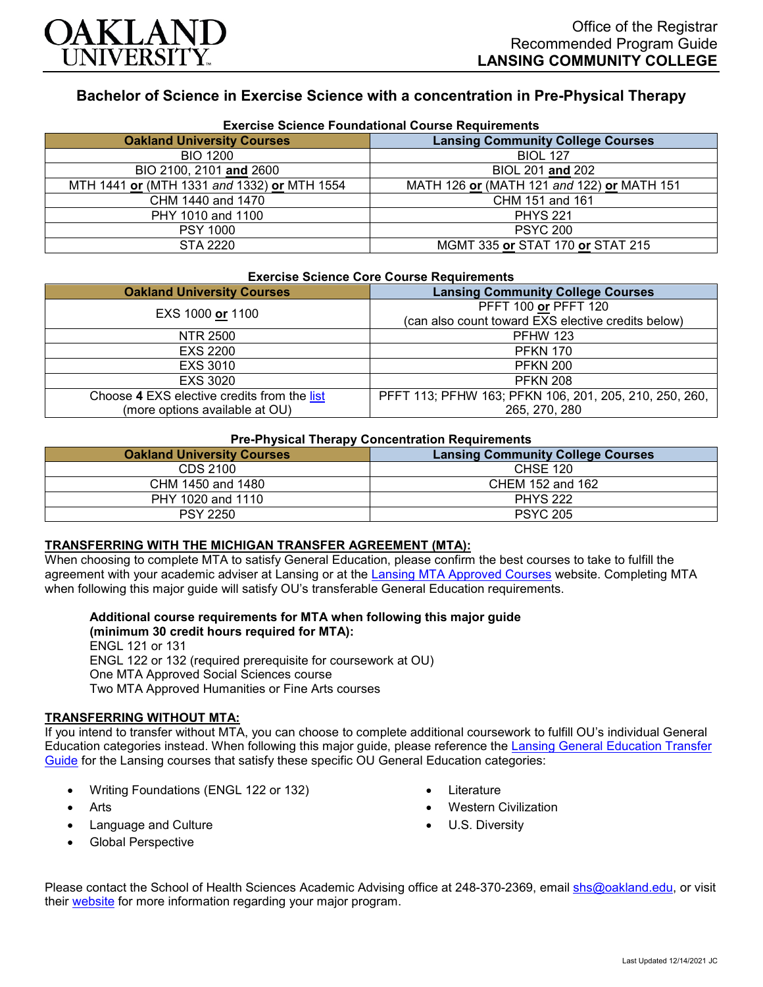

# **Bachelor of Science in Exercise Science with a concentration in Pre-Physical Therapy**

| <b>Exercise Science Foundational Course Requirements</b> |                                            |  |
|----------------------------------------------------------|--------------------------------------------|--|
| <b>Oakland University Courses</b>                        | <b>Lansing Community College Courses</b>   |  |
| <b>BIO 1200</b>                                          | <b>BIOL 127</b>                            |  |
| BIO 2100, 2101 and 2600                                  | BIOL 201 and 202                           |  |
| MTH 1441 or (MTH 1331 and 1332) or MTH 1554              | MATH 126 or (MATH 121 and 122) or MATH 151 |  |
| CHM 1440 and 1470                                        | CHM 151 and 161                            |  |
| PHY 1010 and 1100                                        | <b>PHYS 221</b>                            |  |
| <b>PSY 1000</b>                                          | <b>PSYC 200</b>                            |  |
| STA 2220                                                 | MGMT 335 or STAT 170 or STAT 215           |  |

### **Exercise Science Foundational Course Requirements**

### **Exercise Science Core Course Requirements**

| <b>Oakland University Courses</b>           | <b>Lansing Community College Courses</b>               |
|---------------------------------------------|--------------------------------------------------------|
| EXS 1000 or 1100                            | PFFT 100 or PFFT 120                                   |
|                                             | (can also count toward EXS elective credits below)     |
| NTR 2500                                    | <b>PFHW 123</b>                                        |
| <b>EXS 2200</b>                             | <b>PFKN 170</b>                                        |
| <b>EXS 3010</b>                             | <b>PFKN 200</b>                                        |
| <b>EXS 3020</b>                             | <b>PFKN 208</b>                                        |
| Choose 4 EXS elective credits from the list | PFFT 113; PFHW 163; PFKN 106, 201, 205, 210, 250, 260, |
| (more options available at OU)              | 265, 270, 280                                          |

# **Pre-Physical Therapy Concentration Requirements**

| <b>Oakland University Courses</b> | <b>Lansing Community College Courses</b> |
|-----------------------------------|------------------------------------------|
| CDS 2100                          | <b>CHSE 120</b>                          |
| CHM 1450 and 1480                 | CHEM 152 and 162                         |
| PHY 1020 and 1110                 | <b>PHYS 222</b>                          |
| <b>PSY 2250</b>                   | <b>PSYC 205</b>                          |

### **TRANSFERRING WITH THE MICHIGAN TRANSFER AGREEMENT (MTA):**

When choosing to complete MTA to satisfy General Education, please confirm the best courses to take to fulfill the agreement with your academic adviser at Lansing or at the [Lansing MTA Approved Courses](https://www.lcc.edu/academics/transfer/mta.html) website. Completing MTA when following this major guide will satisfy OU's transferable General Education requirements.

**Additional course requirements for MTA when following this major guide** 

**(minimum 30 credit hours required for MTA):** ENGL 121 or 131 ENGL 122 or 132 (required prerequisite for coursework at OU) One MTA Approved Social Sciences course Two MTA Approved Humanities or Fine Arts courses

## **TRANSFERRING WITHOUT MTA:**

If you intend to transfer without MTA, you can choose to complete additional coursework to fulfill OU's individual General Education categories instead. When following this major guide, please reference the [Lansing General Education Transfer](https://www.oakland.edu/Assets/Oakland/program-guides/lansing-community-college/university-general-education-requirements/Lansing%20Gen%20Ed.pdf)  [Guide](https://www.oakland.edu/Assets/Oakland/program-guides/lansing-community-college/university-general-education-requirements/Lansing%20Gen%20Ed.pdf) for the Lansing courses that satisfy these specific OU General Education categories:

- Writing Foundations (ENGL 122 or 132)
- Arts
- Language and Culture
- Global Perspective
- **Literature**
- Western Civilization
- U.S. Diversity

Please contact the School of Health Sciences Academic Advising office at 248-370-2369, email [shs@oakland.edu,](mailto:shs@oakland.edu) or visit their [website](http://www.oakland.edu/shs/advising) for more information regarding your major program.